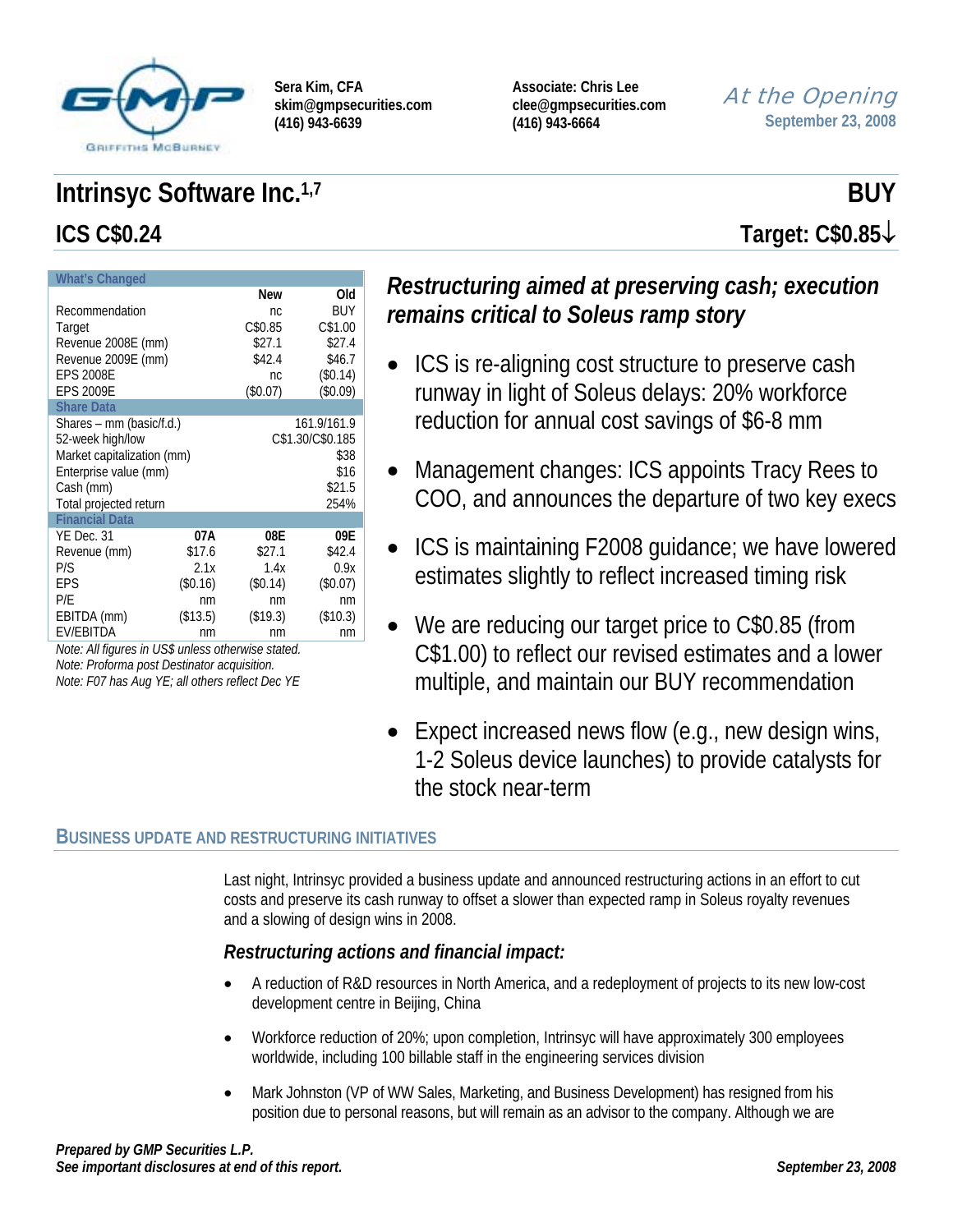

**Associate: Chris Lee clee@gmpsecurities.com (416) 943-6664** 

At the Opening **September 23, 2008**

# **Intrinsyc Software Inc.**<sup>1,7</sup> BUY **ICS C\$0.24 Target: C\$0.85**↓

| <b>What's Changed</b>      |          |            |                  |
|----------------------------|----------|------------|------------------|
|                            |          | New        | Old              |
| Recommendation             |          | nc.        | BUY              |
| Target                     |          | C\$0.85    | C\$1.00          |
| Revenue 2008E (mm)         |          | \$27.1     | \$27.4           |
| Revenue 2009E (mm)         |          | \$42.4     | \$46.7           |
| <b>EPS 2008E</b>           |          | nc.        | (\$0.14)         |
| <b>EPS 2009E</b>           |          | $(\$0.07)$ | (\$0.09)         |
| <b>Share Data</b>          |          |            |                  |
| Shares – mm (basic/f.d.)   |          |            | 161.9/161.9      |
| 52-week high/low           |          |            | C\$1.30/C\$0.185 |
| Market capitalization (mm) |          |            | \$38             |
| Enterprise value (mm)      |          |            | \$16             |
| Cash (mm)                  |          |            | \$21.5           |
| Total projected return     |          |            | 254%             |
| <b>Financial Data</b>      |          |            |                  |
| YE Dec. 31                 | 07A      | 08E        | 09E              |
| Revenue (mm)               | \$17.6   | \$27.1     | \$42.4           |
| P/S                        | 2.1x     | 1.4x       | 0.9x             |
| EPS                        | (\$0.16) | (\$0.14)   | (\$0.07)         |
| P/E                        | nm       | nm         | nm               |
| EBITDA (mm)                | (\$13.5) | (\$19.3)   | (\$10.3)         |
| <b>EV/EBITDA</b>           | nm       | nm         | nm               |

*Note: All figures in US\$ unless otherwise stated. Note: Proforma post Destinator acquisition. Note: F07 has Aug YE; all others reflect Dec YE* 

# *Restructuring aimed at preserving cash; execution remains critical to Soleus ramp story*

- ICS is re-aligning cost structure to preserve cash runway in light of Soleus delays: 20% workforce reduction for annual cost savings of \$6-8 mm
- Management changes: ICS appoints Tracy Rees to COO, and announces the departure of two key execs
- ICS is maintaining F2008 guidance; we have lowered estimates slightly to reflect increased timing risk
- We are reducing our target price to C\$0.85 (from C\$1.00) to reflect our revised estimates and a lower multiple, and maintain our BUY recommendation
- Expect increased news flow (e.g., new design wins, 1-2 Soleus device launches) to provide catalysts for the stock near-term

### **BUSINESS UPDATE AND RESTRUCTURING INITIATIVES**

Last night, Intrinsyc provided a business update and announced restructuring actions in an effort to cut costs and preserve its cash runway to offset a slower than expected ramp in Soleus royalty revenues and a slowing of design wins in 2008.

## *Restructuring actions and financial impact:*

- A reduction of R&D resources in North America, and a redeployment of projects to its new low-cost development centre in Beijing, China
- Workforce reduction of 20%; upon completion, Intrinsyc will have approximately 300 employees worldwide, including 100 billable staff in the engineering services division
- Mark Johnston (VP of WW Sales, Marketing, and Business Development) has resigned from his position due to personal reasons, but will remain as an advisor to the company. Although we are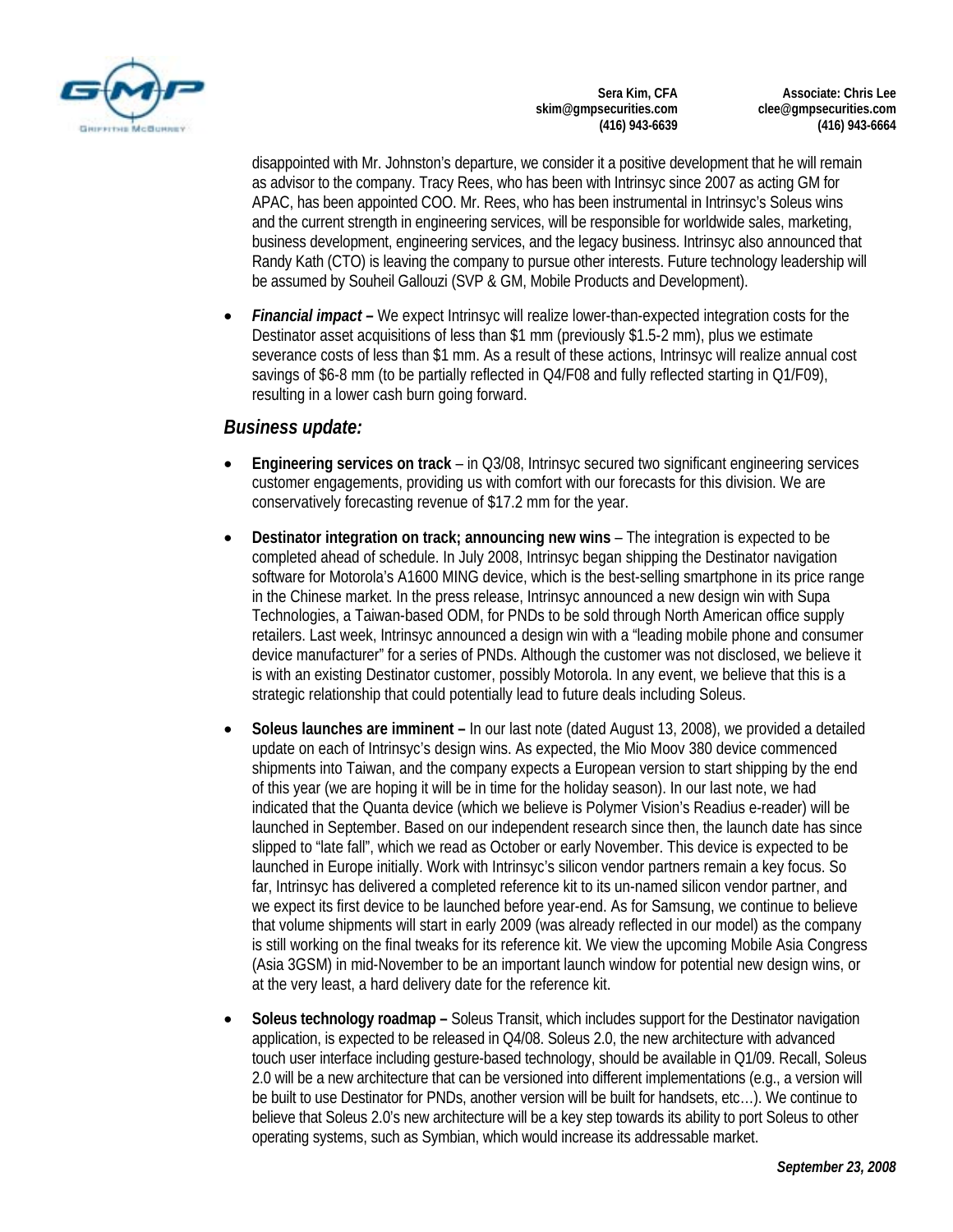

**Associate: Chris Lee clee@gmpsecurities.com (416) 943-6664** 

disappointed with Mr. Johnston's departure, we consider it a positive development that he will remain as advisor to the company. Tracy Rees, who has been with Intrinsyc since 2007 as acting GM for APAC, has been appointed COO. Mr. Rees, who has been instrumental in Intrinsyc's Soleus wins and the current strength in engineering services, will be responsible for worldwide sales, marketing, business development, engineering services, and the legacy business. Intrinsyc also announced that Randy Kath (CTO) is leaving the company to pursue other interests. Future technology leadership will be assumed by Souheil Gallouzi (SVP & GM, Mobile Products and Development).

• *Financial impact –* We expect Intrinsyc will realize lower-than-expected integration costs for the Destinator asset acquisitions of less than \$1 mm (previously \$1.5-2 mm), plus we estimate severance costs of less than \$1 mm. As a result of these actions, Intrinsyc will realize annual cost savings of \$6-8 mm (to be partially reflected in Q4/F08 and fully reflected starting in Q1/F09), resulting in a lower cash burn going forward.

#### *Business update:*

- **Engineering services on track**  in Q3/08, Intrinsyc secured two significant engineering services customer engagements, providing us with comfort with our forecasts for this division. We are conservatively forecasting revenue of \$17.2 mm for the year.
- **Destinator integration on track; announcing new wins** The integration is expected to be completed ahead of schedule. In July 2008, Intrinsyc began shipping the Destinator navigation software for Motorola's A1600 MING device, which is the best-selling smartphone in its price range in the Chinese market. In the press release, Intrinsyc announced a new design win with Supa Technologies, a Taiwan-based ODM, for PNDs to be sold through North American office supply retailers. Last week, Intrinsyc announced a design win with a "leading mobile phone and consumer device manufacturer" for a series of PNDs. Although the customer was not disclosed, we believe it is with an existing Destinator customer, possibly Motorola. In any event, we believe that this is a strategic relationship that could potentially lead to future deals including Soleus.
- **Soleus launches are imminent** In our last note (dated August 13, 2008), we provided a detailed update on each of Intrinsyc's design wins. As expected, the Mio Moov 380 device commenced shipments into Taiwan, and the company expects a European version to start shipping by the end of this year (we are hoping it will be in time for the holiday season). In our last note, we had indicated that the Quanta device (which we believe is Polymer Vision's Readius e-reader) will be launched in September. Based on our independent research since then, the launch date has since slipped to "late fall", which we read as October or early November. This device is expected to be launched in Europe initially. Work with Intrinsyc's silicon vendor partners remain a key focus. So far, Intrinsyc has delivered a completed reference kit to its un-named silicon vendor partner, and we expect its first device to be launched before year-end. As for Samsung, we continue to believe that volume shipments will start in early 2009 (was already reflected in our model) as the company is still working on the final tweaks for its reference kit. We view the upcoming Mobile Asia Congress (Asia 3GSM) in mid-November to be an important launch window for potential new design wins, or at the very least, a hard delivery date for the reference kit.
- **Soleus technology roadmap –** Soleus Transit, which includes support for the Destinator navigation application, is expected to be released in Q4/08. Soleus 2.0, the new architecture with advanced touch user interface including gesture-based technology, should be available in Q1/09. Recall, Soleus 2.0 will be a new architecture that can be versioned into different implementations (e.g., a version will be built to use Destinator for PNDs, another version will be built for handsets, etc…). We continue to believe that Soleus 2.0's new architecture will be a key step towards its ability to port Soleus to other operating systems, such as Symbian, which would increase its addressable market.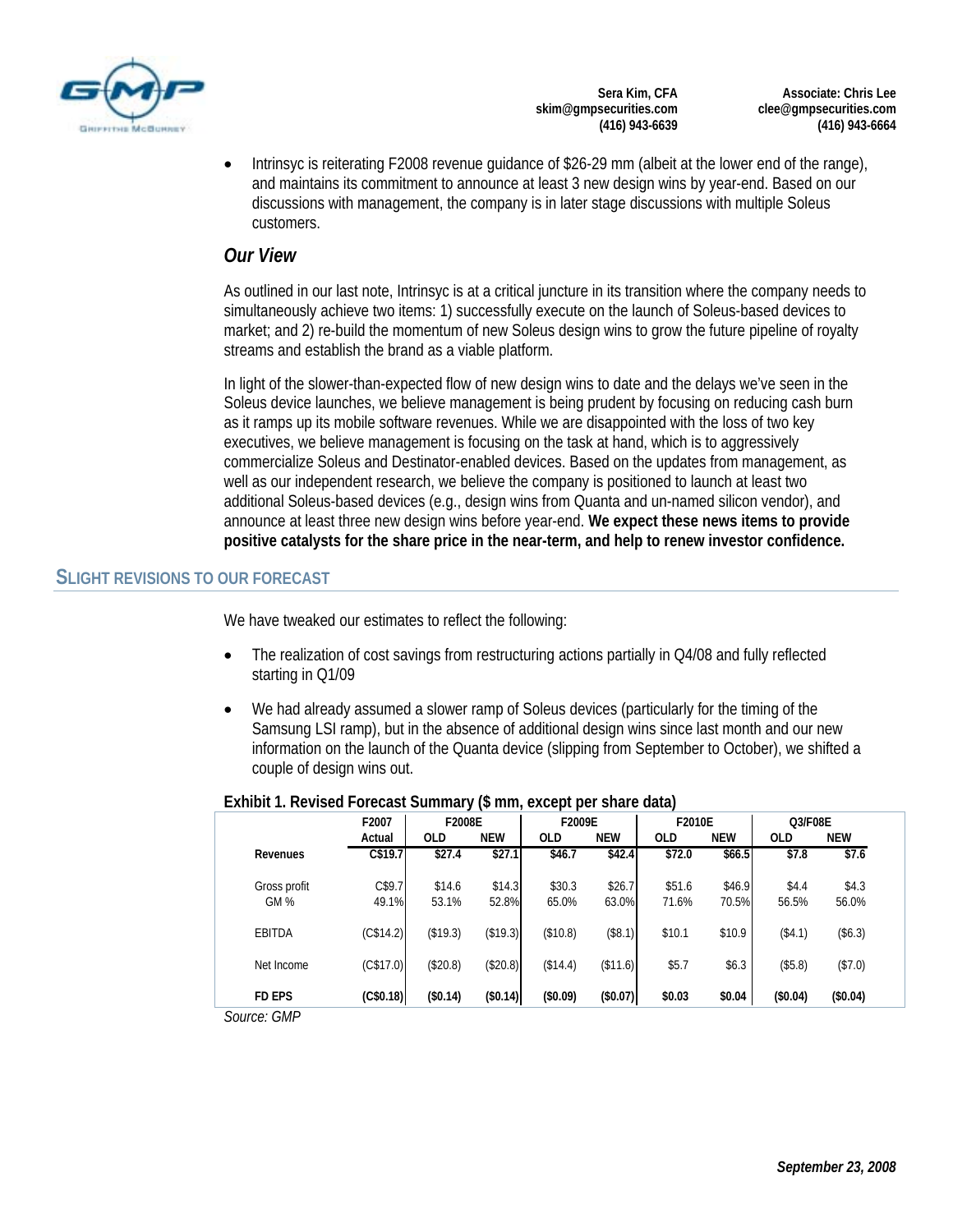

**Associate: Chris Lee clee@gmpsecurities.com (416) 943-6664** 

• Intrinsyc is reiterating F2008 revenue guidance of \$26-29 mm (albeit at the lower end of the range), and maintains its commitment to announce at least 3 new design wins by year-end. Based on our discussions with management, the company is in later stage discussions with multiple Soleus customers.

#### *Our View*

As outlined in our last note, Intrinsyc is at a critical juncture in its transition where the company needs to simultaneously achieve two items: 1) successfully execute on the launch of Soleus-based devices to market; and 2) re-build the momentum of new Soleus design wins to grow the future pipeline of royalty streams and establish the brand as a viable platform.

In light of the slower-than-expected flow of new design wins to date and the delays we've seen in the Soleus device launches, we believe management is being prudent by focusing on reducing cash burn as it ramps up its mobile software revenues. While we are disappointed with the loss of two key executives, we believe management is focusing on the task at hand, which is to aggressively commercialize Soleus and Destinator-enabled devices. Based on the updates from management, as well as our independent research, we believe the company is positioned to launch at least two additional Soleus-based devices (e.g., design wins from Quanta and un-named silicon vendor), and announce at least three new design wins before year-end. **We expect these news items to provide positive catalysts for the share price in the near-term, and help to renew investor confidence.**

#### **SLIGHT REVISIONS TO OUR FORECAST**

We have tweaked our estimates to reflect the following:

- The realization of cost savings from restructuring actions partially in  $Q4/08$  and fully reflected starting in Q1/09
- We had already assumed a slower ramp of Soleus devices (particularly for the timing of the Samsung LSI ramp), but in the absence of additional design wins since last month and our new information on the launch of the Quanta device (slipping from September to October), we shifted a couple of design wins out.

|               | F2007     | F2008E     |            | F2009E     |            | F2010E     |            | Q3/F08E    |            |
|---------------|-----------|------------|------------|------------|------------|------------|------------|------------|------------|
|               | Actual    | <b>OLD</b> | <b>NEW</b> | <b>OLD</b> | <b>NEW</b> | <b>OLD</b> | <b>NEW</b> | <b>OLD</b> | <b>NEW</b> |
| Revenues      | C\$19.7   | \$27.4     | \$27.1     | \$46.7     | \$42.4     | \$72.0     | \$66.5     | \$7.8      | \$7.6      |
| Gross profit  | C\$9.7    | \$14.6     | \$14.3     | \$30.3     | \$26.7     | \$51.6     | \$46.9     | \$4.4      | \$4.3      |
| GM %          | 49.1%     | 53.1%      | 52.8%      | 65.0%      | 63.0%      | 71.6%      | 70.5%      | 56.5%      | 56.0%      |
| <b>EBITDA</b> | (C\$14.2) | (\$19.3)   | (\$19.3)   | (\$10.8)   | (\$8.1)    | \$10.1     | \$10.9     | (\$4.1)    | (\$6.3)    |
| Net Income    | (C\$17.0) | (\$20.8)   | (\$20.8)   | (\$14.4)   | (\$11.6)   | \$5.7      | \$6.3      | (\$5.8)    | (\$7.0)    |
| <b>FD EPS</b> | (C\$0.18) | (\$0.14)   | (\$0.14)   | (\$0.09)   | (\$0.07)   | \$0.03     | \$0.04     | (\$0.04)   | (\$0.04)   |
| Source: GMP   |           |            |            |            |            |            |            |            |            |

#### **Exhibit 1. Revised Forecast Summary (\$ mm, except per share data)**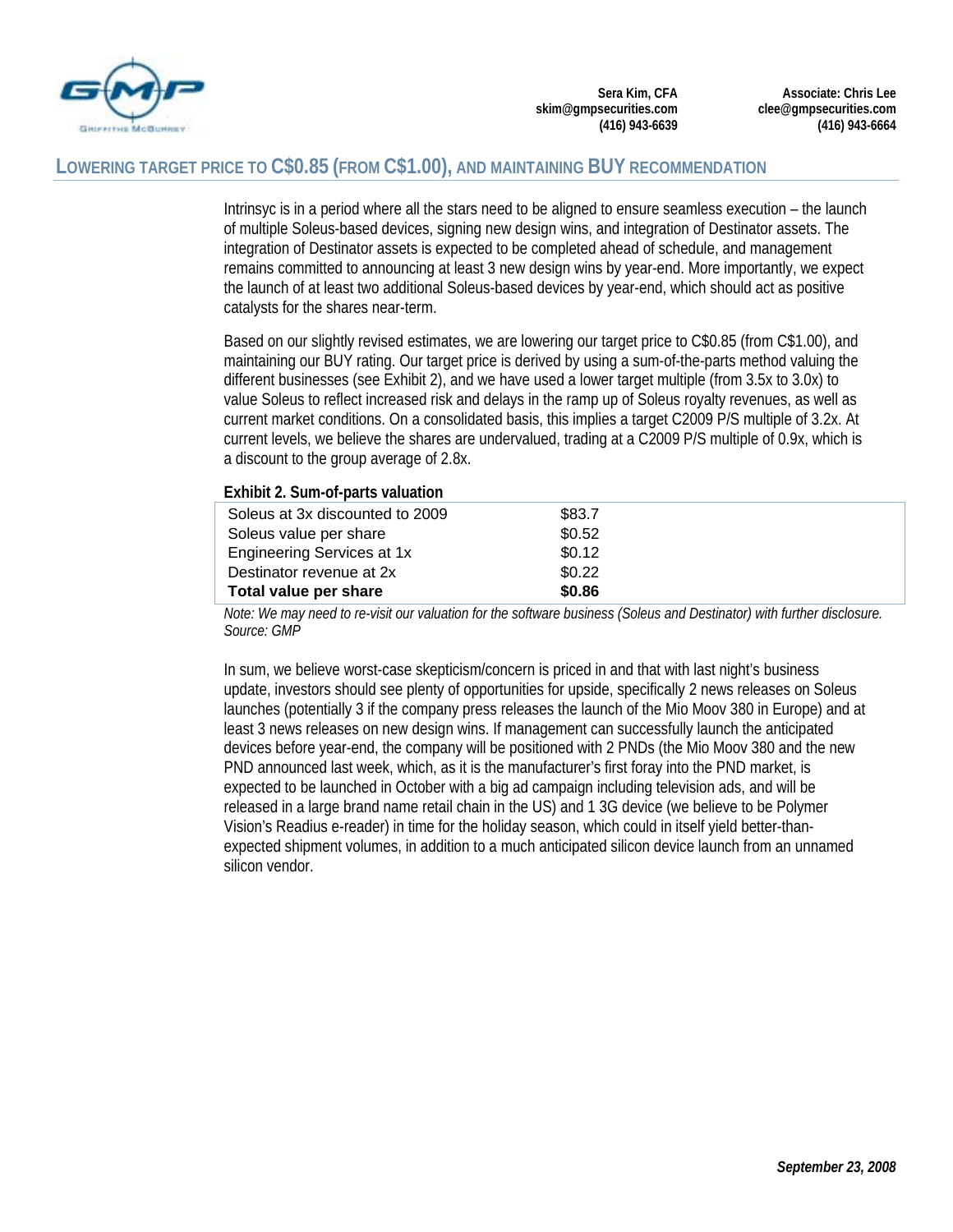

#### **LOWERING TARGET PRICE TO C\$0.85 (FROM C\$1.00), AND MAINTAINING BUY RECOMMENDATION**

Intrinsyc is in a period where all the stars need to be aligned to ensure seamless execution – the launch of multiple Soleus-based devices, signing new design wins, and integration of Destinator assets. The integration of Destinator assets is expected to be completed ahead of schedule, and management remains committed to announcing at least 3 new design wins by year-end. More importantly, we expect the launch of at least two additional Soleus-based devices by year-end, which should act as positive catalysts for the shares near-term.

Based on our slightly revised estimates, we are lowering our target price to C\$0.85 (from C\$1.00), and maintaining our BUY rating. Our target price is derived by using a sum-of-the-parts method valuing the different businesses (see Exhibit 2), and we have used a lower target multiple (from 3.5x to 3.0x) to value Soleus to reflect increased risk and delays in the ramp up of Soleus royalty revenues, as well as current market conditions. On a consolidated basis, this implies a target C2009 P/S multiple of 3.2x. At current levels, we believe the shares are undervalued, trading at a C2009 P/S multiple of 0.9x, which is a discount to the group average of 2.8x.

#### **Exhibit 2. Sum-of-parts valuation**

| <b>EXHIBIT 2: SQIII OF BUILS VAIDATION</b> |        |  |
|--------------------------------------------|--------|--|
| Soleus at 3x discounted to 2009            | \$83.7 |  |
| Soleus value per share                     | \$0.52 |  |
| Engineering Services at 1x                 | \$0.12 |  |
| Destinator revenue at 2x                   | \$0.22 |  |
| Total value per share                      | \$0.86 |  |

*Note: We may need to re-visit our valuation for the software business (Soleus and Destinator) with further disclosure. Source: GMP* 

In sum, we believe worst-case skepticism/concern is priced in and that with last night's business update, investors should see plenty of opportunities for upside, specifically 2 news releases on Soleus launches (potentially 3 if the company press releases the launch of the Mio Moov 380 in Europe) and at least 3 news releases on new design wins. If management can successfully launch the anticipated devices before year-end, the company will be positioned with 2 PNDs (the Mio Moov 380 and the new PND announced last week, which, as it is the manufacturer's first foray into the PND market, is expected to be launched in October with a big ad campaign including television ads, and will be released in a large brand name retail chain in the US) and 1 3G device (we believe to be Polymer Vision's Readius e-reader) in time for the holiday season, which could in itself yield better-thanexpected shipment volumes, in addition to a much anticipated silicon device launch from an unnamed silicon vendor.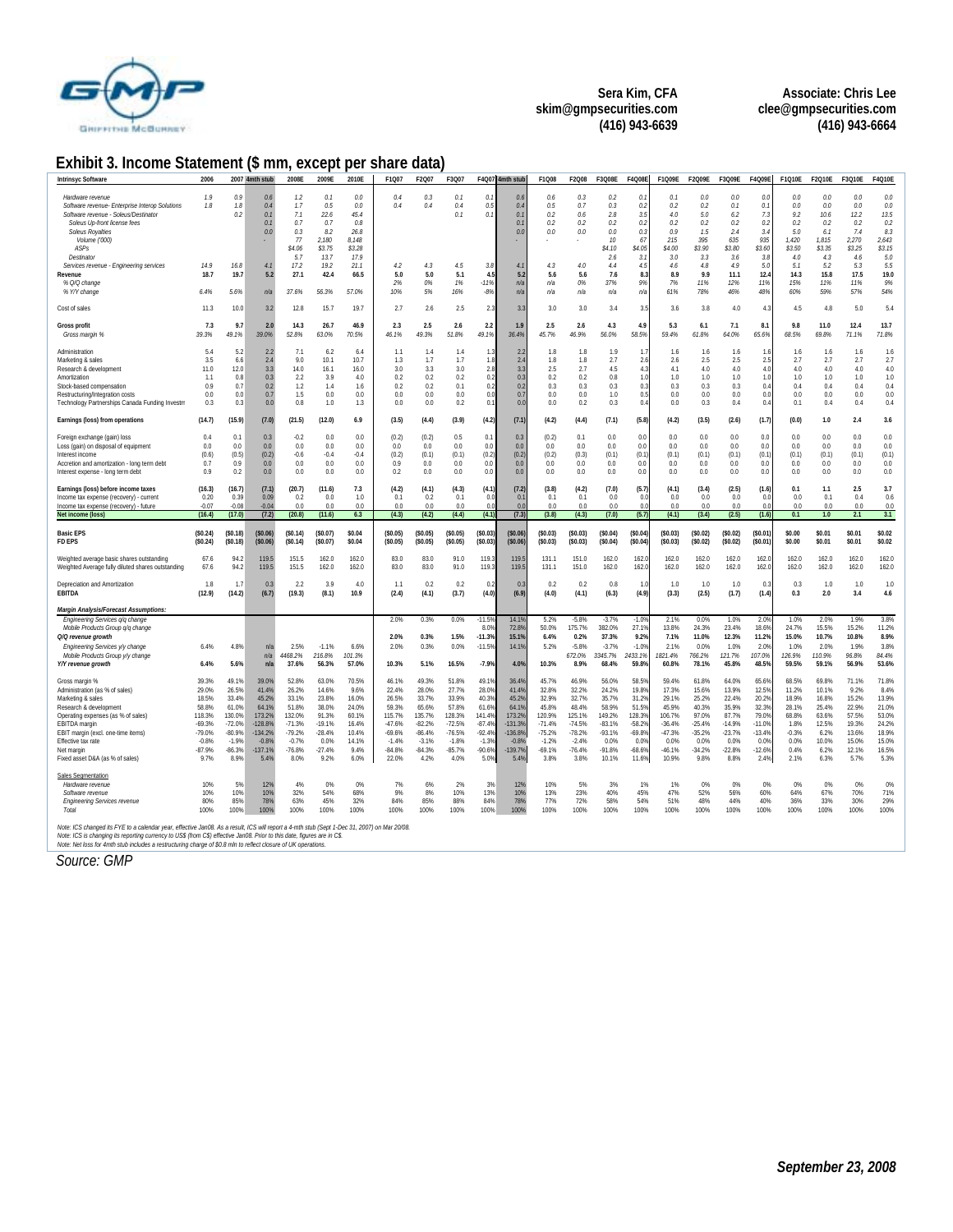

**Associate: Chris Lee clee@gmpsecurities.com (416) 943-6664** 

#### **Exhibit 3. Income Statement (\$ mm, except per share data)**

| <b>Intrinsyc Software</b>                                                                                                                                                                                                                                                                                                                                                             | 2006                                                                                              |                                                                                                   | 2007 4mth stub                                                                                    | 2008E                                                                                             | 2009E                                                                                         | 2010E                                                                                   | F1Q07                                                                                              | F2Q07                                                                                             | F3Q07                                                                                             |                                                                                                   | F4Q07 4mth stub                                                                                | F1Q08                                                                                             | F2Q08                                                                                             | F3Q08E                                                                                          | F4Q08E                                                                                                | F1Q09E                                                                                          | F2Q09E                                                                                             | F3Q09E                                                                                        | F4Q09E                                                                                          | F1Q10E                                                                                | F2Q10E                                                                                             | F3Q10E                                                                                            | F4Q10E                                                                                 |
|---------------------------------------------------------------------------------------------------------------------------------------------------------------------------------------------------------------------------------------------------------------------------------------------------------------------------------------------------------------------------------------|---------------------------------------------------------------------------------------------------|---------------------------------------------------------------------------------------------------|---------------------------------------------------------------------------------------------------|---------------------------------------------------------------------------------------------------|-----------------------------------------------------------------------------------------------|-----------------------------------------------------------------------------------------|----------------------------------------------------------------------------------------------------|---------------------------------------------------------------------------------------------------|---------------------------------------------------------------------------------------------------|---------------------------------------------------------------------------------------------------|------------------------------------------------------------------------------------------------|---------------------------------------------------------------------------------------------------|---------------------------------------------------------------------------------------------------|-------------------------------------------------------------------------------------------------|-------------------------------------------------------------------------------------------------------|-------------------------------------------------------------------------------------------------|----------------------------------------------------------------------------------------------------|-----------------------------------------------------------------------------------------------|-------------------------------------------------------------------------------------------------|---------------------------------------------------------------------------------------|----------------------------------------------------------------------------------------------------|---------------------------------------------------------------------------------------------------|----------------------------------------------------------------------------------------|
| Hardware revenue<br>Software revenue- Enterprise Interop Solutions<br>Software revenue - Soleus/Destinator<br>Soleus Up-front license fees<br><b>Soleus Royalties</b><br>Volume ('000)<br>ASPs<br>Destinator<br>Services revenue - Engineering services<br>Revenue<br>% Q/Q change<br>% Y/Y change                                                                                    | 7.9<br>7.8<br>14.9<br>18.7<br>6.4%                                                                | 0.9<br>7.8<br>0.2<br>16.8<br>19.7<br>5.6%                                                         | $\theta$<br>0.4<br>Q <sub>i</sub><br>Q <sub>i</sub><br>0 <sub>0</sub><br>4.1<br>5.2<br>n/2        | 12<br>7.7<br>7.1<br>0.7<br>0.3<br>77<br>\$4.06<br>5.7<br>17.2<br>27.1<br>37.6%                    | 0.1<br>0.5<br>22.6<br>0.7<br>8.2<br>2.180<br>\$3.75<br>13.7<br>19.2<br>42.4<br>56.3%          | 0.0<br>$0.0$<br>45.4<br>0.8<br>26.8<br>8.148<br>\$3.28<br>17.9<br>21.1<br>66.5<br>57.0% | 0.4<br>0.4<br>4.2<br>5.0<br>2%<br>10%                                                              | 0.3<br>0.4<br>4.3<br>5.0<br>0%<br>5%                                                              | 0.1<br>0.4<br>0.1<br>4.5<br>5.1<br>1%<br>16%                                                      | $\theta$ .<br>0.5<br>0.1<br>3.8<br>4.5<br>$-11%$<br>$-8%$                                         | 0 <sub>f</sub><br>$\theta$ .<br>0.1<br>$\Omega$<br>0.0<br>$\overline{4}$<br>5.2<br>n/s<br>n/5  | 0.6<br>0.5<br>0.2<br>02<br>0.0<br>4.3<br>5.6<br>п/а<br>n/a                                        | 0.3<br>0.7<br>0.6<br>0 <sup>2</sup><br>0.6<br>4.6<br>5.6<br>0%<br>n/a                             | 0 <sup>2</sup><br>0.3<br>2.8<br>0.2<br>0.0<br>10<br>\$4.10<br>2.6<br>4.4<br>7.6<br>37%<br>n/s   | 0.<br>0.2<br>3.5<br>$\theta$<br>0.3<br>67<br>\$4.05<br>3.1<br>4.5<br>8.3<br>9%<br>n/a                 | 0.1<br>0.2<br>4.0<br>02<br>09<br>215<br>\$4.00<br>3.0<br>4.6<br>8.9<br>7%<br>61%                | 0 <sub>0</sub><br>0.2<br>5.0<br>0.2<br>1.5<br>395<br>\$3.90<br>3.3<br>$4.8\,$<br>9.9<br>11%<br>78% | 0.6<br>0.1<br>6.2<br>02<br>2.4<br>635<br>\$3.80<br>3.6<br>4.9<br>11.1<br>12%<br>46%           | 0.0<br>0.1<br>7.3<br>0 <sup>2</sup><br>3.4<br>935<br>\$3.60<br>3.8<br>5.0<br>12.4<br>779<br>48% | 0.0<br>0.0<br>9.2<br>02<br>5.0<br>1,420<br>\$3.50<br>4.0<br>5.1<br>14.3<br>15%<br>60% | 0.0<br>0.0<br>10.6<br>0 <sup>2</sup><br>6.1<br>1.815<br>\$3.35<br>4.3<br>5.2<br>15.8<br>11%<br>59% | 0 <sub>0</sub><br>0.0<br>12.2<br>0.2<br>74<br>2.270<br>\$3.25<br>4.6<br>5.3<br>17.5<br>11%<br>57% | 0.6<br>0.6<br>13.5<br>0.2<br>8.3<br>2,643<br>\$3.15<br>5.6<br>5.5<br>19.0<br>9%<br>54% |
| Cost of sales                                                                                                                                                                                                                                                                                                                                                                         | 11.3                                                                                              | 10.0                                                                                              | 3.2                                                                                               | 12.8                                                                                              | 15.7                                                                                          | 19.7                                                                                    | 2.7                                                                                                | 2.6                                                                                               | 2.5                                                                                               | 2.3                                                                                               | 3.3                                                                                            | 3.0                                                                                               | 3.0                                                                                               | 3.4                                                                                             | 3.5                                                                                                   | 3.6                                                                                             | 3.8                                                                                                | 4.0                                                                                           | 4.3                                                                                             | 4.5                                                                                   | 4.8                                                                                                | 5.0                                                                                               | 5.4                                                                                    |
| <b>Gross profit</b><br>Gross margin %                                                                                                                                                                                                                                                                                                                                                 | 7.3<br>39.3%                                                                                      | 9.7<br>49.1%                                                                                      | 2.0<br>39.0%                                                                                      | 14.3<br>52.8%                                                                                     | 26.7<br>63.0%                                                                                 | 46.9<br>70.5%                                                                           | 2.3<br>46.1%                                                                                       | 2.5<br>49.3%                                                                                      | 2.6<br>51.8%                                                                                      | 2.2<br>49.1%                                                                                      | 1.9<br>36.4%                                                                                   | 2.5<br>45.7%                                                                                      | 2.6<br>46.9%                                                                                      | 4.3<br>56.0%                                                                                    | 4.9<br>58.5%                                                                                          | 5.3<br>59.4%                                                                                    | 6.1<br>61.8%                                                                                       | 7.1<br>64.0%                                                                                  | 8.1<br>65.6%                                                                                    | 9.8<br>68.5%                                                                          | 11.0<br>69.8%                                                                                      | 12.4<br>71.1%                                                                                     | 13.7<br>71.8%                                                                          |
| Administration<br>Marketing & sales<br>Research & development<br>Amortization<br>Stock-based compensation<br>Restructuring/Integration costs<br>Technology Partnerships Canada Funding Investn                                                                                                                                                                                        | 5.4<br>3.5<br>11.0<br>1.1<br>0.9<br>0.0<br>0.3                                                    | 52<br>6.6<br>12.0<br>0.8<br>0.7<br>0.0<br>0.3                                                     | 22<br>2.4<br>3.3<br>0.3<br>0.2<br>0.7<br>0.0                                                      | 7.1<br>9.0<br>14.0<br>22<br>1.2<br>1.5<br>0.8                                                     | 6.2<br>10.1<br>16.1<br>3.9<br>1.4<br>0.0<br>1.0                                               | 6.4<br>10.7<br>16.0<br>4.0<br>1.6<br>0.0<br>1.3                                         | 1.1<br>1.3<br>3.0<br>02<br>0.2<br>0.0<br>0.0                                                       | 1.4<br>1.7<br>3.3<br>0.2<br>0.2<br>0.0<br>0.0                                                     | 1.4<br>1.7<br>3.0<br>0.2<br>0.1<br>0.0<br>0.2                                                     | $1$ .<br>1.8<br>2.8<br>0.2<br>0.2<br>0.0<br>0.1                                                   | 2.7<br>2.4<br>3.3<br>0.3<br>0.2<br>0.7<br>0.0                                                  | 1.8<br>1.8<br>2.5<br>0.2<br>0.3<br>0.0<br>0.0                                                     | 1.8<br>1.8<br>2.7<br>0.2<br>0.3<br>0.0<br>0.2                                                     | 1.9<br>2.7<br>4.5<br>0.8<br>0.3<br>1.0<br>0.3                                                   | $\mathbf{1}$<br>21<br>4.3<br>1 <sub>0</sub><br>0.3<br>0.5<br>0.4                                      | 1.6<br>2.6<br>4.1<br>1.0<br>0.3<br>0.0<br>0.0                                                   | 1.6<br>2.5<br>4.0<br>1.0<br>0.3<br>0.0<br>0.3                                                      | 16<br>2.5<br>4.0<br>1.0<br>0.3<br>0.0<br>0.4                                                  | 1.<br>2.5<br>4.0<br>1 <sub>0</sub><br>0.4<br>0.0<br>0.4                                         | 1.6<br>2.7<br>4.0<br>1 <sub>0</sub><br>0.4<br>0.0<br>0.1                              | 1.6<br>2.7<br>4.0<br>1.0<br>0.4<br>0.0<br>0.4                                                      | 1.6<br>2.7<br>4.0<br>1.0<br>0.4<br>0.0<br>0.4                                                     | 1.6<br>2.7<br>4.0<br>1.0<br>0.4<br>0.0<br>0.4                                          |
| Earnings (loss) from operations                                                                                                                                                                                                                                                                                                                                                       | (14.7)                                                                                            | (15.9)                                                                                            | (7.0)                                                                                             | (21.5)                                                                                            | (12.0)                                                                                        | 6.9                                                                                     | (3.5)                                                                                              | (4.4)                                                                                             | (3.9)                                                                                             | (4.2)                                                                                             | (7.1)                                                                                          | (4.2)                                                                                             | (4.4)                                                                                             | (7.1)                                                                                           | (5.8)                                                                                                 | (4.2)                                                                                           | (3.5)                                                                                              | (2.6)                                                                                         | (1.7)                                                                                           | (0.0)                                                                                 | 1.0                                                                                                | 2.4                                                                                               | 3.6                                                                                    |
| Foreign exchange (gain) loss<br>Loss (gain) on disposal of equipment<br>Interest income<br>Accretion and amortization - long term debt<br>Interest expense - long term debt                                                                                                                                                                                                           | 0.4<br>0.0<br>(0.6)<br>0.7<br>0.9                                                                 | 0.1<br>0.0<br>(0.5)<br>0.9<br>0.2                                                                 | 0.3<br>0.0<br>(0.2)<br>0.0<br>0.0                                                                 | $-0.2$<br>0.0<br>$-0.6$<br>0.0<br>0.0                                                             | 0.0<br>0.0<br>$-0.4$<br>0.0<br>0.0                                                            | 0.0<br>0.0<br>$-0.4$<br>0.0<br>0.0                                                      | (0.2)<br>0.0<br>(0.2)<br>0.9<br>0.2                                                                | (0.2)<br>0.0<br>(0.1)<br>0.0<br>0.0                                                               | 0.5<br>0.0<br>(0.1)<br>0.0<br>0.0                                                                 | 0.1<br>0.0<br>(0.2)<br>0 <sup>0</sup><br>0.0                                                      | 0.3<br>0.0<br>(0.2)<br>0 <sub>0</sub><br>0.0                                                   | (0.2)<br>0.0<br>(0.2)<br>0.0<br>0.0                                                               | 0.1<br>0.0<br>(0.3)<br>0.0<br>0.0                                                                 | 0.0<br>0.0<br>(0.1)<br>0.0<br>0.0                                                               | 0.0<br>0.0<br>(0.1)<br>0.0<br>0.0                                                                     | 0.0<br>0.0<br>(0.1)<br>0.0<br>0.0                                                               | 0.0<br>0.0<br>(0.1)<br>0.0<br>0.0                                                                  | 0.0<br>0.0<br>(0.1)<br>0.0<br>0.0                                                             | 0.0<br>0.0<br>(0.1)<br>0 <sub>0</sub><br>0.0                                                    | 0.0<br>0.0<br>(0.1)<br>0.0<br>0.0                                                     | 0.0<br>0.0<br>(0.1)<br>0.0<br>0.0                                                                  | 0.0<br>0.0<br>(0.1)<br>0.0<br>0.0                                                                 | 0.0<br>0.0<br>(0.1)<br>0.0<br>0.0                                                      |
| Earnings (loss) before income taxes<br>Income tax expense (recovery) - current<br>Income tax expense (recovery) - future                                                                                                                                                                                                                                                              | (16.3)<br>0.20                                                                                    | (16.7)<br>0.39                                                                                    | (7.1)<br>0.09                                                                                     | (20.7)<br>0.2                                                                                     | (11.6)<br>0.0                                                                                 | 7.3<br>1.0                                                                              | (4.2)<br>0.1<br>0.0                                                                                | (4.1)<br>0.2<br>0.0                                                                               | (4.3)<br>0.1<br>0.0                                                                               | (4.1)<br>0.1<br>0 <sub>1</sub>                                                                    | (7.2)<br>$\Omega$<br>0.0                                                                       | (3.8)<br>0.1<br>0.0                                                                               | (4.2)<br>0.1<br>0.0                                                                               | (7.0)<br>0.0<br>0.0                                                                             | (5.7)<br>0 <sub>0</sub><br>0 <sub>0</sub>                                                             | (4.1)<br>0.0<br>0.0                                                                             | (3.4)<br>0.0<br>0.0                                                                                | (2.5)<br>0.0<br>0.0                                                                           | (1.6)<br>0 <sup>0</sup><br>0.0                                                                  | 0.1<br>0.0<br>0.0                                                                     | 1.1<br>0.1<br>0.0                                                                                  | 2.5<br>0.4<br>0.0                                                                                 | 3.7<br>0.6<br>0.0                                                                      |
|                                                                                                                                                                                                                                                                                                                                                                                       | $-0.07$                                                                                           | $-0.08$                                                                                           | $-0.04$                                                                                           | 0.0                                                                                               | 0.0                                                                                           | 0.0                                                                                     |                                                                                                    |                                                                                                   |                                                                                                   |                                                                                                   |                                                                                                |                                                                                                   |                                                                                                   |                                                                                                 |                                                                                                       |                                                                                                 |                                                                                                    |                                                                                               |                                                                                                 |                                                                                       |                                                                                                    |                                                                                                   |                                                                                        |
| Net income (loss)                                                                                                                                                                                                                                                                                                                                                                     | (16.4)                                                                                            | (17.0)                                                                                            | (7.2)                                                                                             | (20.8)                                                                                            | (11.6)                                                                                        | 6.3                                                                                     | (4.3)                                                                                              | (4.2)                                                                                             | (4.4)                                                                                             | (4.1)                                                                                             | (7.3)                                                                                          | (3.8)                                                                                             | (4.3)                                                                                             | (7.0)                                                                                           | (5.7)                                                                                                 | (4.1)                                                                                           | (3.4)                                                                                              | (2.5)                                                                                         | (1.6)                                                                                           | 0.1                                                                                   | 1.0                                                                                                | 2.1                                                                                               | 3.1                                                                                    |
| <b>Basic FPS</b><br><b>FD EPS</b>                                                                                                                                                                                                                                                                                                                                                     | (\$0.24)<br>(S0.24)                                                                               | (S0.18)<br>(50.18)                                                                                | (S0.06)<br>(S0.06)                                                                                | (S0.14)<br>(S0.14)                                                                                | (S0.07)<br>(S0.07)                                                                            | \$0.04<br>\$0.04                                                                        | (\$0.05)<br>(50.05)                                                                                | (S0.05)<br>(S0.05)                                                                                | (\$0.05)<br>(\$0.05)                                                                              | (S0.03)<br>(\$0.03)                                                                               | (S0.06)<br>(S0.06)                                                                             | (50.03)<br>(50.03)                                                                                | (S0.03)<br>(S0.03)                                                                                | \$0.04)<br>(\$0.04)                                                                             | (S0.04)<br>(S0.04)                                                                                    | (\$0.03)<br>(\$0.03)                                                                            | (\$0.02)<br>(50.02)                                                                                | (\$0.02)<br>(S0.02)                                                                           | (S0.01)<br>(S0.01)                                                                              | \$0.00<br>\$0.00                                                                      | \$0.01<br>\$0.01                                                                                   | \$0.01<br>\$0.01                                                                                  | \$0.02<br>\$0.02                                                                       |
| Weighted average basic shares outstanding<br>Weighted Average fully diluted shares outstanding                                                                                                                                                                                                                                                                                        | 67.6<br>67.6                                                                                      | 94.2<br>94.2                                                                                      | 119.<br>119.5                                                                                     | 151.5<br>151.5                                                                                    | 162.0<br>162.0                                                                                | 162.0<br>162.0                                                                          | 83.0<br>83.0                                                                                       | 83.0<br>83.0                                                                                      | 91.0<br>91.0                                                                                      | 119.<br>119.                                                                                      | 119.5<br>119.5                                                                                 | 131.1<br>131.1                                                                                    | 151.0<br>151.0                                                                                    | 162.0<br>162.0                                                                                  | 162.<br>162.0                                                                                         | 162.0<br>162.0                                                                                  | 162.0<br>162.0                                                                                     | 162.0<br>162.0                                                                                | 162.0<br>162.0                                                                                  | 162.0<br>162.0                                                                        | 162.0<br>162.0                                                                                     | 162.0<br>162.0                                                                                    | 162.0<br>162.0                                                                         |
| Depreciation and Amortization<br>EBITDA                                                                                                                                                                                                                                                                                                                                               | 1.8<br>(12.9)                                                                                     | 1.7<br>(14.2)                                                                                     | $\Omega$ :<br>(6.7)                                                                               | 2.2<br>(19.3)                                                                                     | 3.9<br>(8.1)                                                                                  | 4 N<br>10.9                                                                             | -1.1<br>(2.4)                                                                                      | 0.2<br>(4.1)                                                                                      | 0.2<br>(3.7)                                                                                      | $\Omega$<br>(4.0)                                                                                 | $\Omega$<br>(6.9)                                                                              | 0.2<br>(4.0)                                                                                      | 0.2<br>(4.1)                                                                                      | 0.8<br>(6.3)                                                                                    | 11<br>(4.9)                                                                                           | 1.0<br>(3.3)                                                                                    | 1.0<br>(2.5)                                                                                       | 1.0<br>(1.7)                                                                                  | $\Omega$<br>(1.4)                                                                               | 0.3<br>0.3                                                                            | 1.0<br>2.0                                                                                         | 1.0<br>3.4                                                                                        | 1.0<br>4.6                                                                             |
| <b>Margin Analysis/Forecast Assumptions:</b>                                                                                                                                                                                                                                                                                                                                          |                                                                                                   |                                                                                                   |                                                                                                   |                                                                                                   |                                                                                               |                                                                                         |                                                                                                    |                                                                                                   |                                                                                                   |                                                                                                   |                                                                                                |                                                                                                   |                                                                                                   |                                                                                                 |                                                                                                       |                                                                                                 |                                                                                                    |                                                                                               |                                                                                                 |                                                                                       |                                                                                                    |                                                                                                   |                                                                                        |
| Engineering Services q/q change<br>Mobile Products Group q/q change<br>Q/Q revenue growth<br>Engineering Services y/y change<br>Mobile Products Group y/y change<br>Y/Y revenue growth                                                                                                                                                                                                | 6.4%<br>6.4%                                                                                      | 4.8%<br>5.6%                                                                                      | n/a<br>n/a<br>n/a                                                                                 | 2.5%<br>4468.2%<br>37.6%                                                                          | $-1.1%$<br>216.8%<br>56.3%                                                                    | 6.6%<br>101.3%<br>57.0%                                                                 | 2.0%<br>2.0%<br>2.0%<br>10.3%                                                                      | 0.3%<br>0.3%<br>0.3%<br>5.1%                                                                      | 0.0%<br>1.5%<br>0.0%<br>16.5%                                                                     | $-11.59$<br>8.0%<br>$-11.39$<br>$-11.59$<br>$-7.99$                                               | 14.19<br>72.8%<br>15.1%<br>14.1%<br>4.0%                                                       | 5.2%<br>50.0%<br>6.4%<br>5.2%<br>10.3%                                                            | $-5.8%$<br>175.7%<br>0.2%<br>$-5.8%$<br>672.0%<br>8.9%                                            | $-3.7%$<br>382.0%<br>37.3%<br>$-3.7%$<br>3345.7%<br>68.4%                                       | $-1.09$<br>27.19<br>9.29<br>$-1.09$<br>2433.1%<br>59.89                                               | 2.1%<br>13.8%<br>7.1%<br>2.1%<br>1821.4%<br>60.8%                                               | 0.0%<br>24.3%<br>11.0%<br>0.0%<br>766.2%<br>78.1%                                                  | 1.0%<br>23.4%<br>12.3%<br>1.0%<br>121.7%<br>45.8%                                             | 20 <sup>°</sup><br>18.69<br>11.2%<br>$2.0^{\circ}$<br>107.0%<br>48.5%                           | 1.0%<br>24.7%<br>15.0%<br>1.0%<br>126.9%<br>59.5%                                     | 2.0%<br>15.5%<br>10.7%<br>2.0%<br>110.9%<br>59.1%                                                  | 1.9%<br>15.2%<br>10.8%<br>1.9%<br>96.8%<br>56.9%                                                  | 3.8%<br>11.2%<br>8.9%<br>3.8%<br>84.4%<br>53.6%                                        |
| Gross margin %<br>Administration (as % of sales)<br>Marketing & sales<br>Research & development<br>Operating expenses (as % of sales)<br>EBITDA margin<br>EBIT margin (excl. one-time items)<br>Effective tax rate<br>Net margin<br>Fixed asset D&A (as % of sales)                                                                                                                   | 39.3%<br>29.0%<br>18.5%<br>58.8%<br>118.3%<br>$-69.3%$<br>$-79.0%$<br>$-0.8%$<br>$-87.9%$<br>9.7% | 49.1%<br>26.5%<br>33.4%<br>61.0%<br>130.0%<br>$-72.0%$<br>$-80.9%$<br>$-1.9%$<br>$-86.3%$<br>8.9% | 39.0%<br>41.4%<br>45.2%<br>64.1%<br>173.2%<br>$-128.89$<br>134.2%<br>$-0.8%$<br>$-137.1%$<br>5.4% | 52.8%<br>26.2%<br>33.1%<br>51.8%<br>132.0%<br>$-71.3%$<br>$-79.2%$<br>$-0.7%$<br>$-76.8%$<br>8.0% | 63.0%<br>14.6%<br>23.8%<br>38.0%<br>91.3%<br>$-19.1%$<br>$-28.4%$<br>0.0%<br>$-27.4%$<br>9.2% | 70.5%<br>9.6%<br>16.0%<br>24.0%<br>60.1%<br>16.4%<br>10.4%<br>14.1%<br>9.4%<br>6.0%     | 46.1%<br>22.4%<br>26.5%<br>59.3%<br>115.7%<br>$-47.6%$<br>$-69.6%$<br>$-1.4%$<br>$-84.8%$<br>22.0% | 49.3%<br>28.0%<br>33.7%<br>65.6%<br>135.7%<br>$-82.2%$<br>$-86.4%$<br>$-3.1%$<br>$-84.3%$<br>4.2% | 51.8%<br>27.7%<br>33.9%<br>57.8%<br>128.3%<br>$-72.5%$<br>$-76.5%$<br>$-1.8%$<br>$-85.7%$<br>4.0% | 49.19<br>28.09<br>40.39<br>61.69<br>141.49<br>$-87.49$<br>$-92.49$<br>$-1.39$<br>$-90.69$<br>5.0% | 36.49<br>41.4%<br>45.2%<br>64.19<br>173.29<br>131.39<br>136.8%<br>$-0.8%$<br>$-139.7%$<br>5.4% | 45.7%<br>32.8%<br>32.9%<br>45.8%<br>120.9%<br>$-71.4%$<br>$-75.2%$<br>$-1.2%$<br>$-69.1%$<br>3.8% | 46.9%<br>32.2%<br>32.7%<br>48.4%<br>125.1%<br>$-74.5%$<br>$-78.2%$<br>$-2.4%$<br>$-76.4%$<br>3.8% | 56.0%<br>24.2%<br>35.7%<br>58.9%<br>149.2%<br>$-83.1%$<br>$-93.1%$<br>0.0%<br>$-91.8%$<br>10.1% | 58.59<br>19.89<br>31.29<br>51.59<br>128.39<br>$-58.2^{\circ}$<br>$-69.8$<br>0.05<br>$-68.69$<br>11.6% | 59.4%<br>17.3%<br>29.1%<br>45.9%<br>106.7%<br>$-36.4%$<br>$-47.3%$<br>0.0%<br>$-46.1%$<br>10.9% | 61.8%<br>15.6%<br>25.2%<br>40.3%<br>97.0%<br>$-25.4%$<br>$-35.2%$<br>0.0%<br>$-34.2%$<br>9.8%      | 64.0%<br>13.9%<br>22.4%<br>35.9%<br>87.7%<br>$-14.9%$<br>$-23.7%$<br>0.0%<br>$-22.8%$<br>8.8% | 65.69<br>12.59<br>20.29<br>32.39<br>79.0<br>$-11.0$<br>$-13.49$<br>0.05<br>$-12.69$<br>2.4%     | 68.5%<br>11.2%<br>18.9%<br>28.1%<br>68.8%<br>1.8%<br>$-0.3%$<br>0.0%<br>0.4%<br>2.1%  | 69.8%<br>10.1%<br>16.8%<br>25.4%<br>63.6%<br>12.5%<br>6.2%<br>10.0%<br>6.2%<br>6.3%                | 71.1%<br>9.2%<br>15.2%<br>22.9%<br>57.5%<br>19.3%<br>13.6%<br>15.0%<br>12.1%<br>5.7%              | 71.8%<br>8.4%<br>13.9%<br>21.0%<br>53.0%<br>24.2%<br>18.9%<br>15.0%<br>16.5%<br>5.3%   |
| Sales Segmentation<br>Hardware revenue<br>Software revenue<br><b>Engineering Services revenue</b><br>Total<br>Note: ICS changed its FYE to a calendar year, effective Jan08. As a result, ICS will report a 4-mth stub (Sept 1-Dec 31, 2007) on Mar 20/08.<br>Note: ICS is changing its reporting currency to US\$ (from C\$) effective Jan08. Prior to this date, figures are in C\$ | 10%<br>10%<br>80%<br>100%                                                                         | 5%<br>10%<br>85%<br>100%                                                                          | 12%<br>10%<br>78%<br>100%                                                                         | 4%<br>32%<br>63%<br>100%                                                                          | 0%<br>54%<br>45%<br>100%                                                                      | 0%<br>68%<br>32%<br>100%                                                                | 7%<br>9%<br>84%<br>100%                                                                            | 6%<br>8%<br>85%<br>100%                                                                           | 2%<br>10%<br>88%<br>100%                                                                          | 3%<br>13%<br>84%<br>100%                                                                          | 12%<br>10%<br>78%<br>100%                                                                      | 10%<br>13%<br>77%<br>100%                                                                         | 5%<br>23%<br>72%<br>100%                                                                          | 3%<br>40%<br>58%<br>100%                                                                        | 1%<br>45%<br>54%<br>100%                                                                              | 1%<br>47%<br>51%<br>100%                                                                        | 0%<br>52%<br>48%<br>100%                                                                           | 0%<br>56%<br>44%<br>100%                                                                      | 0%<br>60%<br>40%<br>100%                                                                        | 0%<br>64%<br>36%<br>100%                                                              | 0%<br>67%<br>33%<br>100%                                                                           | 0%<br>70%<br>30%<br>100%                                                                          | 0%<br>71%<br>29%<br>100%                                                               |

Note: ICS is changing its reporting currency to US\$ (from C\$) effective Jan08. Prior to this date, figures are in C\$.<br>Note: Net loss for 4mth stub includes a restructuring charge of \$0.8 mln to reflect closure of UK operat

*Source: GMP*